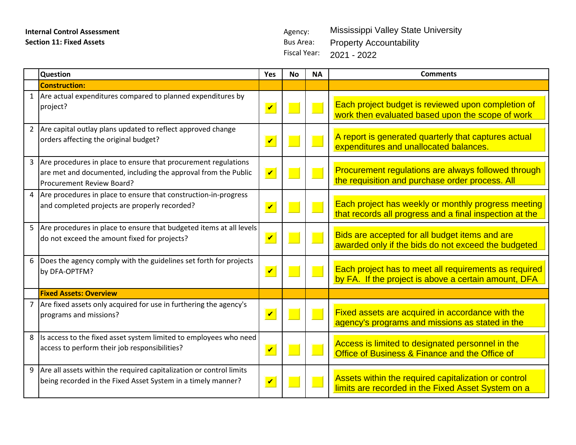Fiscal Year: 2021 - 2022Mississippi Valley State University Property Accountability

|                | <b>Question</b>                                                                                                                                               | Yes                        | Nο | <b>NA</b> | <b>Comments</b>                                                                                                |
|----------------|---------------------------------------------------------------------------------------------------------------------------------------------------------------|----------------------------|----|-----------|----------------------------------------------------------------------------------------------------------------|
|                | <b>Construction:</b>                                                                                                                                          |                            |    |           |                                                                                                                |
| $\mathbf{1}$   | Are actual expenditures compared to planned expenditures by<br>project?                                                                                       | $\boldsymbol{\mathcal{U}}$ |    |           | Each project budget is reviewed upon completion of<br>work then evaluated based upon the scope of work         |
| $2^{\circ}$    | Are capital outlay plans updated to reflect approved change<br>orders affecting the original budget?                                                          | $\boldsymbol{\mathcal{U}}$ |    |           | A report is generated quarterly that captures actual<br>expenditures and unallocated balances.                 |
| $\overline{3}$ | Are procedures in place to ensure that procurement regulations<br>are met and documented, including the approval from the Public<br>Procurement Review Board? | $\overline{\mathbf{v}}$    |    |           | Procurement regulations are always followed through<br>the requisition and purchase order process. All         |
| 4              | Are procedures in place to ensure that construction-in-progress<br>and completed projects are properly recorded?                                              | $\overline{\mathbf{v}}$    |    |           | Each project has weekly or monthly progress meeting<br>that records all progress and a final inspection at the |
|                | 5 Are procedures in place to ensure that budgeted items at all levels<br>do not exceed the amount fixed for projects?                                         | $\overline{\mathbf{v}}$    |    |           | Bids are accepted for all budget items and are<br>awarded only if the bids do not exceed the budgeted          |
| 6              | Does the agency comply with the guidelines set forth for projects<br>by DFA-OPTFM?                                                                            | $\overline{\mathbf{v}}$    |    |           | Each project has to meet all requirements as required<br>by FA. If the project is above a certain amount, DFA  |
|                | <b>Fixed Assets: Overview</b>                                                                                                                                 |                            |    |           |                                                                                                                |
|                | Are fixed assets only acquired for use in furthering the agency's<br>programs and missions?                                                                   | $\overline{\mathbf{v}}$    |    |           | Fixed assets are acquired in accordance with the<br>agency's programs and missions as stated in the            |
| 8              | Is access to the fixed asset system limited to employees who need<br>access to perform their job responsibilities?                                            | $\overline{\mathbf{v}}$    |    |           | Access is limited to designated personnel in the<br>Office of Business & Finance and the Office of             |
| 9              | Are all assets within the required capitalization or control limits<br>being recorded in the Fixed Asset System in a timely manner?                           | $\overline{\mathbf{v}}$    |    |           | Assets within the required capitalization or control<br>limits are recorded in the Fixed Asset System on a     |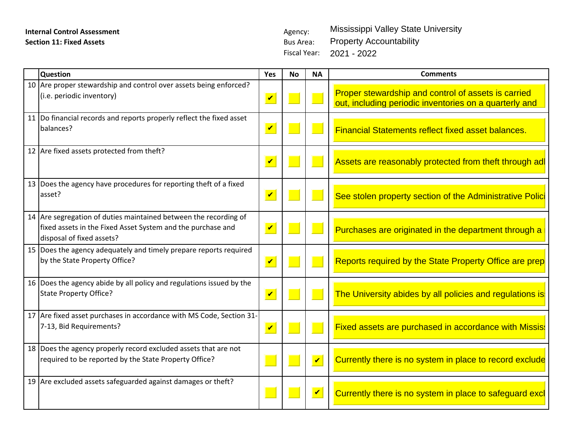Fiscal Year: 2021 - 2022Mississippi Valley State University Property Accountability

| <b>Question</b>                                                                                                                                              | Yes          | <b>No</b>                | <b>NA</b>                   | <b>Comments</b>                                                                                               |  |
|--------------------------------------------------------------------------------------------------------------------------------------------------------------|--------------|--------------------------|-----------------------------|---------------------------------------------------------------------------------------------------------------|--|
| 10 Are proper stewardship and control over assets being enforced?<br>(i.e. periodic inventory)                                                               | $\mathbf{v}$ | $\overline{\phantom{a}}$ |                             | Proper stewardship and control of assets is carried<br>out, including periodic inventories on a quarterly and |  |
| 11 Do financial records and reports properly reflect the fixed asset<br>balances?                                                                            | $\sqrt{ }$   | $\mathbb{R}^2$           |                             | <b>Financial Statements reflect fixed asset balances.</b>                                                     |  |
| 12 Are fixed assets protected from theft?                                                                                                                    | $\mathbf{v}$ | $\sqrt{2}$               |                             | Assets are reasonably protected from theft through ad                                                         |  |
| 13 Does the agency have procedures for reporting theft of a fixed<br>asset?                                                                                  | $\mathbf{v}$ | $\mathbb{R}^n$           |                             | See stolen property section of the Administrative Polici                                                      |  |
| 14 Are segregation of duties maintained between the recording of<br>fixed assets in the Fixed Asset System and the purchase and<br>disposal of fixed assets? | $\sqrt{2}$   | $\Box$                   |                             | Purchases are originated in the department through a                                                          |  |
| 15 Does the agency adequately and timely prepare reports required<br>by the State Property Office?                                                           | $\mathbf{v}$ | $\overline{\phantom{0}}$ |                             | Reports required by the State Property Office are prep                                                        |  |
| 16 Does the agency abide by all policy and regulations issued by the<br>State Property Office?                                                               | $\mathbf{v}$ | $\Box$                   |                             | The University abides by all policies and regulations is                                                      |  |
| 17 Are fixed asset purchases in accordance with MS Code, Section 31-<br>7-13, Bid Requirements?                                                              | $\mathbf{v}$ |                          |                             | <b>Fixed assets are purchased in accordance with Missis</b>                                                   |  |
| 18 Does the agency properly record excluded assets that are not<br>required to be reported by the State Property Office?                                     |              | $\mathbb{R}^2$           | $\overline{\mathbf{v}}$     | Currently there is no system in place to record exclude                                                       |  |
| 19 Are excluded assets safeguarded against damages or theft?                                                                                                 |              | $\Box$                   | $\vert\bm{\mathsf{v}}\vert$ | Currently there is no system in place to safeguard excl                                                       |  |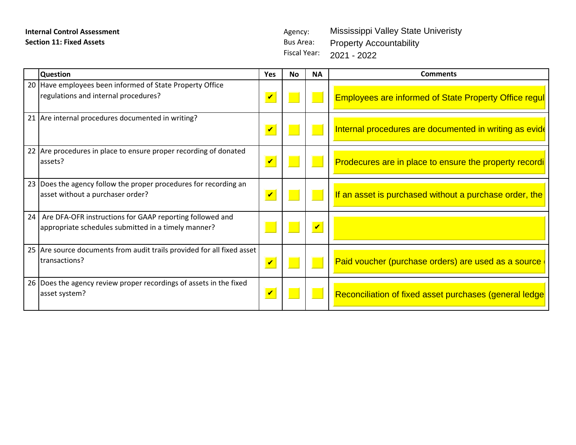Fiscal Year: Mississippi Valley State Univeristy Property Accountability 2021 - 2022

| <b>Question</b>                                                                                                    | Yes                         | <b>No</b>                     | <b>NA</b>  | <b>Comments</b>                                              |
|--------------------------------------------------------------------------------------------------------------------|-----------------------------|-------------------------------|------------|--------------------------------------------------------------|
| 20 Have employees been informed of State Property Office<br>regulations and internal procedures?                   | $\vert\bm{\mathsf{v}}\vert$ |                               |            | <b>Employees are informed of State Property Office regul</b> |
| 21 Are internal procedures documented in writing?                                                                  | $\sqrt{2}$                  | $\Box$                        |            | Internal procedures are documented in writing as evide       |
| 22 Are procedures in place to ensure proper recording of donated<br>assets?                                        | $\mathbf{v}$                |                               |            | Prodecures are in place to ensure the property recordi       |
| 23 Does the agency follow the proper procedures for recording an<br>asset without a purchaser order?               | $\sqrt{ }$                  | $\Box$                        |            | If an asset is purchased without a purchase order, the       |
| 24 Are DFA-OFR instructions for GAAP reporting followed and<br>appropriate schedules submitted in a timely manner? |                             |                               | $\sqrt{ }$ |                                                              |
| 25 Are source documents from audit trails provided for all fixed asset<br>transactions?                            | $\mathbf{v}$                |                               |            | Paid voucher (purchase orders) are used as a source          |
| 26 Does the agency review proper recordings of assets in the fixed<br>asset system?                                | $\vert\bm{\mathsf{v}}\vert$ | $\blacksquare$ $\blacksquare$ |            | Reconciliation of fixed asset purchases (general ledge       |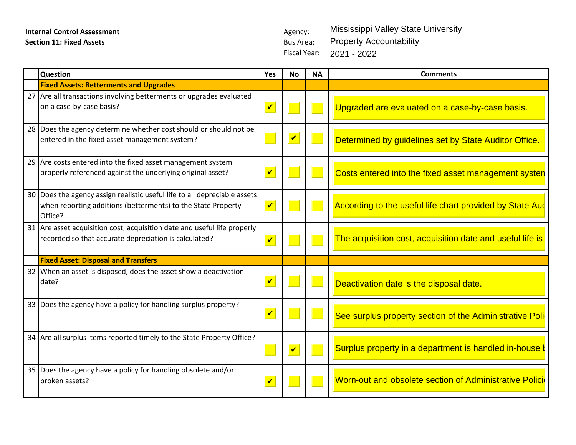Fiscal Year: 2021 - 2022Mississippi Valley State University Property Accountability

| <b>Question</b>                                                                                                                                      | Yes                  | No                   | <b>NA</b> | <b>Comments</b>                                           |
|------------------------------------------------------------------------------------------------------------------------------------------------------|----------------------|----------------------|-----------|-----------------------------------------------------------|
| <b>Fixed Assets: Betterments and Upgrades</b>                                                                                                        |                      |                      |           |                                                           |
| 27 Are all transactions involving betterments or upgrades evaluated<br>on a case-by-case basis?                                                      | $\mathbf{v}$         |                      |           | Upgraded are evaluated on a case-by-case basis.           |
| 28 Does the agency determine whether cost should or should not be<br>entered in the fixed asset management system?                                   |                      | $\mathbf{v}$         |           | Determined by guidelines set by State Auditor Office.     |
| 29 Are costs entered into the fixed asset management system<br>properly referenced against the underlying original asset?                            | $\blacktriangledown$ |                      |           | Costs entered into the fixed asset management systen      |
| 30 Does the agency assign realistic useful life to all depreciable assets<br>when reporting additions (betterments) to the State Property<br>Office? | $\mathbf{v}$         |                      |           | According to the useful life chart provided by State Aud  |
| 31 Are asset acquisition cost, acquisition date and useful life properly<br>recorded so that accurate depreciation is calculated?                    | $\mathbf{v}$         |                      |           | The acquisition cost, acquisition date and useful life is |
| <b>Fixed Asset: Disposal and Transfers</b>                                                                                                           |                      |                      |           |                                                           |
| 32 When an asset is disposed, does the asset show a deactivation<br>date?                                                                            | $\mathbf{v}$         |                      |           | Deactivation date is the disposal date.                   |
| 33 Does the agency have a policy for handling surplus property?                                                                                      | $\blacktriangledown$ |                      |           | See surplus property section of the Administrative Poli   |
| 34 Are all surplus items reported timely to the State Property Office?                                                                               |                      | $\boxed{\checkmark}$ |           | Surplus property in a department is handled in-house I    |
| 35 Does the agency have a policy for handling obsolete and/or<br>broken assets?                                                                      | $\mathbf{v}$         |                      |           | Worn-out and obsolete section of Administrative Polici    |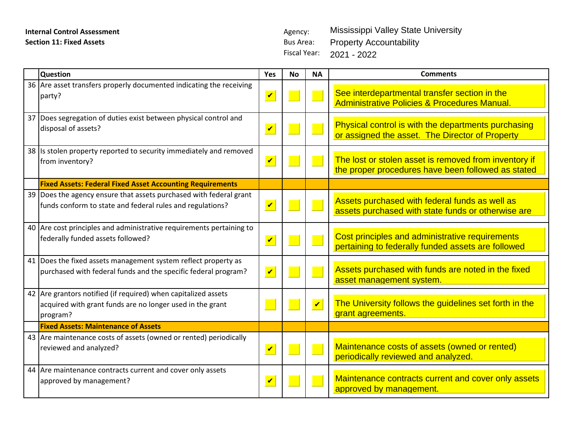| <b>Internal Control Assessment</b>                                                    |                         | Agency:             |                      | <b>Mississippi Valley State University</b>                                                               |  |  |  |  |  |  |  |  |
|---------------------------------------------------------------------------------------|-------------------------|---------------------|----------------------|----------------------------------------------------------------------------------------------------------|--|--|--|--|--|--|--|--|
| <b>Section 11: Fixed Assets</b>                                                       |                         | <b>Bus Area:</b>    |                      | <b>Property Accountability</b>                                                                           |  |  |  |  |  |  |  |  |
|                                                                                       |                         | <b>Fiscal Year:</b> |                      | 2021 - 2022                                                                                              |  |  |  |  |  |  |  |  |
| <b>Question</b>                                                                       | Yes                     | <b>No</b>           | <b>NA</b>            | <b>Comments</b>                                                                                          |  |  |  |  |  |  |  |  |
| 36 Are asset transfers properly documented indicating the receiving                   |                         |                     |                      |                                                                                                          |  |  |  |  |  |  |  |  |
| party?                                                                                | $\blacktriangledown$    |                     |                      | See interdepartmental transfer section in the<br><b>Administrative Policies &amp; Procedures Manual.</b> |  |  |  |  |  |  |  |  |
| 37 Does segregation of duties exist between physical control and                      |                         |                     |                      |                                                                                                          |  |  |  |  |  |  |  |  |
| disposal of assets?                                                                   | $\overline{\mathbf{v}}$ |                     |                      | Physical control is with the departments purchasing<br>or assigned the asset. The Director of Property   |  |  |  |  |  |  |  |  |
| 38 Is stolen property reported to security immediately and removed<br>from inventory? | $\blacktriangledown$    |                     | $\mathbb{R}^n$       | The lost or stolen asset is removed from inventory if                                                    |  |  |  |  |  |  |  |  |
|                                                                                       |                         |                     |                      | the proper procedures have been followed as stated                                                       |  |  |  |  |  |  |  |  |
| <b>Fixed Assets: Federal Fixed Asset Accounting Requirements</b>                      |                         |                     |                      |                                                                                                          |  |  |  |  |  |  |  |  |
| 39 Does the agency ensure that assets purchased with federal grant                    |                         |                     |                      | Assets purchased with federal funds as well as                                                           |  |  |  |  |  |  |  |  |
| funds conform to state and federal rules and regulations?                             | $\sqrt{ }$              |                     | р.                   | assets purchased with state funds or otherwise are                                                       |  |  |  |  |  |  |  |  |
| 40 Are cost principles and administrative requirements pertaining to                  |                         |                     |                      |                                                                                                          |  |  |  |  |  |  |  |  |
| federally funded assets followed?                                                     | $\sqrt{ }$              |                     |                      | Cost principles and administrative requirements<br>pertaining to federally funded assets are followed    |  |  |  |  |  |  |  |  |
| 41 Does the fixed assets management system reflect property as                        |                         |                     |                      |                                                                                                          |  |  |  |  |  |  |  |  |
| purchased with federal funds and the specific federal program?                        | $\blacktriangledown$    |                     | $\mathbb{R}^n$       | Assets purchased with funds are noted in the fixed<br>asset management system.                           |  |  |  |  |  |  |  |  |
| 42 Are grantors notified (if required) when capitalized assets                        |                         |                     |                      |                                                                                                          |  |  |  |  |  |  |  |  |
| acquired with grant funds are no longer used in the grant                             |                         |                     | $\blacktriangledown$ | The University follows the guidelines set forth in the                                                   |  |  |  |  |  |  |  |  |
| program?                                                                              |                         |                     |                      | grant agreements.                                                                                        |  |  |  |  |  |  |  |  |
| <b>Fixed Assets: Maintenance of Assets</b>                                            |                         |                     |                      |                                                                                                          |  |  |  |  |  |  |  |  |
| 43 Are maintenance costs of assets (owned or rented) periodically                     |                         |                     |                      |                                                                                                          |  |  |  |  |  |  |  |  |
| reviewed and analyzed?                                                                | $\blacktriangledown$    |                     | $\mathbb{R}^n$       | Maintenance costs of assets (owned or rented)<br>periodically reviewed and analyzed.                     |  |  |  |  |  |  |  |  |
| 44 Are maintenance contracts current and cover only assets                            |                         |                     |                      |                                                                                                          |  |  |  |  |  |  |  |  |
| approved by management?                                                               | $\overline{\mathbf{v}}$ |                     |                      | Maintenance contracts current and cover only assets<br>approved by management.                           |  |  |  |  |  |  |  |  |